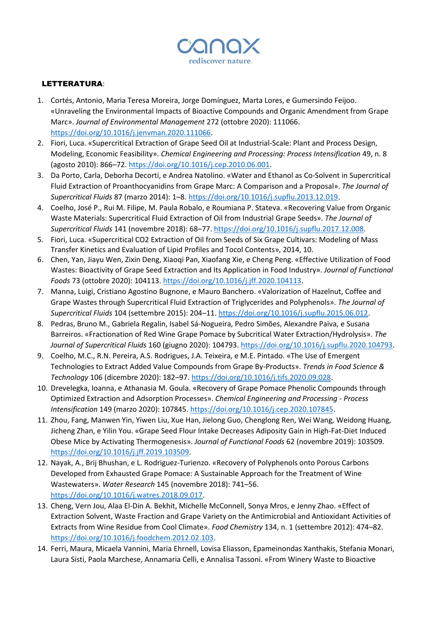

## LETTERATURA:

- 1. Cortés, Antonio, Maria Teresa Moreira, Jorge Domínguez, Marta Lores, e Gumersindo Feijoo. «Unraveling the Environmental Impacts of Bioactive Compounds and Organic Amendment from Grape Marc». *Journal of Environmental Management* 272 (ottobre 2020): 111066. [https://doi.org/10.1016/j.jenvman.2020.111066.](https://doi.org/10.1016/j.jenvman.2020.111066)
- 2. Fiori, Luca. «Supercritical Extraction of Grape Seed Oil at Industrial-Scale: Plant and Process Design, Modeling, Economic Feasibility». *Chemical Engineering and Processing: Process Intensification* 49, n. 8 (agosto 2010): 866–72. [https://doi.org/10.1016/j.cep.2010.06.001.](https://doi.org/10.1016/j.cep.2010.06.001)
- 3. Da Porto, Carla, Deborha Decorti, e Andrea Natolino. «Water and Ethanol as Co-Solvent in Supercritical Fluid Extraction of Proanthocyanidins from Grape Marc: A Comparison and a Proposal». *The Journal of Supercritical Fluids* 87 (marzo 2014): 1–8. [https://doi.org/10.1016/j.supflu.2013.12.019.](https://doi.org/10.1016/j.supflu.2013.12.019)
- 4. Coelho, José P., Rui M. Filipe, M. Paula Robalo, e Roumiana P. Stateva. «Recovering Value from Organic Waste Materials: Supercritical Fluid Extraction of Oil from Industrial Grape Seeds». *The Journal of Supercritical Fluids* 141 (novembre 2018): 68–77[. https://doi.org/10.1016/j.supflu.2017.12.008.](https://doi.org/10.1016/j.supflu.2017.12.008)
- 5. Fiori, Luca. «Supercritical CO2 Extraction of Oil from Seeds of Six Grape Cultivars: Modeling of Mass Transfer Kinetics and Evaluation of Lipid Profiles and Tocol Contents», 2014, 10.
- 6. Chen, Yan, Jiayu Wen, Zixin Deng, Xiaoqi Pan, Xiaofang Xie, e Cheng Peng. «Effective Utilization of Food Wastes: Bioactivity of Grape Seed Extraction and Its Application in Food Industry». *Journal of Functional Foods* 73 (ottobre 2020): 104113. [https://doi.org/10.1016/j.jff.2020.104113.](https://doi.org/10.1016/j.jff.2020.104113)
- 7. Manna, Luigi, Cristiano Agostino Bugnone, e Mauro Banchero. «Valorization of Hazelnut, Coffee and Grape Wastes through Supercritical Fluid Extraction of Triglycerides and Polyphenols». *The Journal of Supercritical Fluids* 104 (settembre 2015): 204–11[. https://doi.org/10.1016/j.supflu.2015.06.012.](https://doi.org/10.1016/j.supflu.2015.06.012)
- 8. Pedras, Bruno M., Gabriela Regalin, Isabel Sá-Nogueira, Pedro Simões, Alexandre Paiva, e Susana Barreiros. «Fractionation of Red Wine Grape Pomace by Subcritical Water Extraction/Hydrolysis». *The Journal of Supercritical Fluids* 160 (giugno 2020): 104793. [https://doi.org/10.1016/j.supflu.2020.104793.](https://doi.org/10.1016/j.supflu.2020.104793)
- 9. Coelho, M.C., R.N. Pereira, A.S. Rodrigues, J.A. Teixeira, e M.E. Pintado. «The Use of Emergent Technologies to Extract Added Value Compounds from Grape By-Products». *Trends in Food Science & Technology* 106 (dicembre 2020): 182–97. [https://doi.org/10.1016/j.tifs.2020.09.028.](https://doi.org/10.1016/j.tifs.2020.09.028)
- 10. Drevelegka, Ioanna, e Athanasia M. Goula. «Recovery of Grape Pomace Phenolic Compounds through Optimized Extraction and Adsorption Processes». *Chemical Engineering and Processing - Process Intensification* 149 (marzo 2020): 107845[. https://doi.org/10.1016/j.cep.2020.107845.](https://doi.org/10.1016/j.cep.2020.107845)
- 11. Zhou, Fang, Manwen Yin, Yiwen Liu, Xue Han, Jielong Guo, Chenglong Ren, Wei Wang, Weidong Huang, Jicheng Zhan, e Yilin You. «Grape Seed Flour Intake Decreases Adiposity Gain in High-Fat-Diet Induced Obese Mice by Activating Thermogenesis». *Journal of Functional Foods* 62 (novembre 2019): 103509. [https://doi.org/10.1016/j.jff.2019.103509.](https://doi.org/10.1016/j.jff.2019.103509)
- 12. Nayak, A., Brij Bhushan, e L. Rodriguez-Turienzo. «Recovery of Polyphenols onto Porous Carbons Developed from Exhausted Grape Pomace: A Sustainable Approach for the Treatment of Wine Wastewaters». *Water Research* 145 (novembre 2018): 741–56. [https://doi.org/10.1016/j.watres.2018.09.017.](https://doi.org/10.1016/j.watres.2018.09.017)
- 13. Cheng, Vern Jou, Alaa El-Din A. Bekhit, Michelle McConnell, Sonya Mros, e Jenny Zhao. «Effect of Extraction Solvent, Waste Fraction and Grape Variety on the Antimicrobial and Antioxidant Activities of Extracts from Wine Residue from Cool Climate». *Food Chemistry* 134, n. 1 (settembre 2012): 474–82. [https://doi.org/10.1016/j.foodchem.2012.02.103.](https://doi.org/10.1016/j.foodchem.2012.02.103)
- 14. Ferri, Maura, Micaela Vannini, Maria Ehrnell, Lovisa Eliasson, Epameinondas Xanthakis, Stefania Monari, Laura Sisti, Paola Marchese, Annamaria Celli, e Annalisa Tassoni. «From Winery Waste to Bioactive